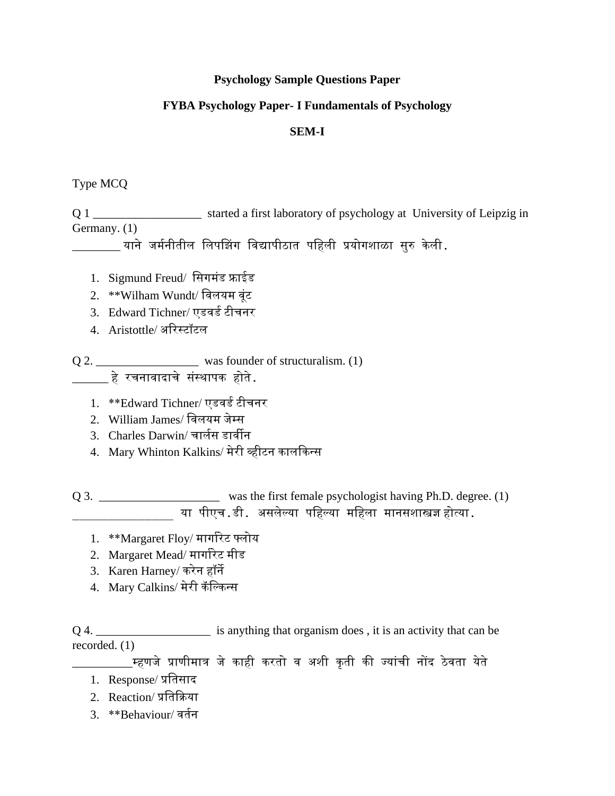#### **Psychology Sample Questions Paper**

### **FYBA Psychology Paper- I Fundamentals of Psychology**

#### **SEM-I**

#### Type MCQ

Q 1 \_\_\_\_\_\_\_\_\_\_\_\_\_\_\_\_\_\_ started a first laboratory of psychology at University of Leipzig in Germany. (1)

\_\_\_\_\_\_\_\_ याने जममनीतील ललपझिंग लिद्यापीठात पलहली प्रयोगशाळा सुरु के ली.

- 1. Sigmund Freud/ सिगमंड फ्राईड
- 2. \*\*Wilham Wundt/ विलयम वूंट
- 3. Edward Tichner/ एडवर्ड टीचनर
- 4. Aristottle/ अररस्टॉटल
- Q 2. \_\_\_\_\_\_\_\_\_\_\_\_\_\_\_\_\_\_\_\_\_\_\_\_ was founder of structuralism. (1)  $\qquad \qquad$ हे रचनावादाचे संस्थापक होते.
	- 1. \*\*Edward Tichner/ एडवर्ड टीचनर
	- 2. William James/ लिलयम जेम्स
	- 3. Charles Darwin/ चार्लस डार्वीन
	- 4. Mary Whinton Kalkins/ मेरी व्हीटन कालककन्स

Q 3. \_\_\_\_\_\_\_\_\_\_\_\_\_\_\_\_\_\_\_\_\_ was the first female psychologist having Ph.D. degree. (1) या पीएच.डी. असलेल्या पहिल्या महिला मानसशास्त्रज्ञ होत्या.

- 1. \*\*Margaret Floy/ मार्गारेट फ्लोय
- 2. Margaret Mead/ मार्गारेट मीड
- 3. Karen Harney/ करेन हॉने
- 4. Mary Calkins/ मेरी कॅ लल्कन्स

Q 4. \_\_\_\_\_\_\_\_\_\_\_\_\_\_\_\_\_\_\_\_\_\_\_\_ is anything that organism does, it is an activity that can be recorded. (1)

\_<br>म्हणजे प्राणीमात्र जे काही करतो व अशी कृती की ज्यांची नोंद ठेवता येते

- 1. Response/ प्रलतसाद
- 2. Reaction/ प्रलतकिया
- 3. \*\*Behaviour/ वर्तन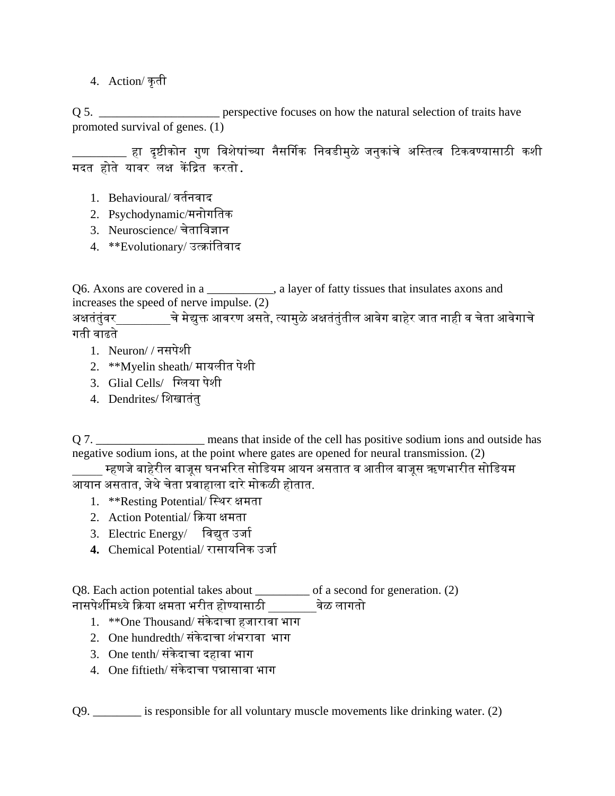4. Action/ कृती

Q 5. \_\_\_\_\_\_\_\_\_\_\_\_\_\_\_\_\_\_\_\_\_\_\_\_ perspective focuses on how the natural selection of traits have promoted survival of genes. (1)

\_\_\_\_\_\_\_\_ हा दृष्टीकोन गुण विशेषांच्या नैसर्गिक निवडीमुळे जनुकांचे अस्तित्व टिकवण्यासाठी कशी मदत होते यावर लक्ष केंदित करतो.

- 1. Behavioural/वर्तनवाद
- 2. Psychodynamic/मनोगलतक
- 3. Neuroscience/ चेतालिज्ञान
- 4. \*\*Evolutionary/ उत्क्रांतिवाद

Q6. Axons are covered in a \_\_\_\_\_\_\_\_\_\_\_, a layer of fatty tissues that insulates axons and increases the speed of nerve impulse. (2)

अक्षतंतुंवर चे मेद्युक्त आवरण असते, त्यामुळे अक्षतंतुंतील आवेग बाहेर जात नाही व चेता आवेगाचे गती वाढते ।

- 1. Neuron/ / नसपेशी
- 2. \*\*Myelin sheath/ मायलीत पेशी
- 3. Glial Cells/ लललया पेशी
- 4. Dendrites/ लशखातंतु

Q 7. \_\_\_\_\_\_\_\_\_\_\_\_\_\_\_\_\_\_\_\_\_ means that inside of the cell has positive sodium ions and outside has negative sodium ions, at the point where gates are opened for neural transmission. (2)

\_\_\_\_\_ म्हणजेबाहेरील बाजूस घनभररत सोलडयम आयन असतात ि आतील बाजूस ऋणभारीत सोलडयम आयान असतात, जेथेचेता प्रिाहाला दारेमोकळी होतात.

- 1. \*\*Resting Potential/ लस्थर क्षमता
- 2. Action Potential/ किया क्षमता
- 3. Electric Energy/ विद्युत उर्जा
- **4.** Chemical Potential/ रासायलनक उजाम

Q8. Each action potential takes about \_\_\_\_\_\_\_\_\_ of a second for generation. (2) नासपेशीमध्येकिया क्षमता भरीत होण्यासाठी \_\_\_\_\_\_\_\_िेळ लागतो

- 1. \*\*One Thousand/ संकेदाचा हजारावा भाग
- 2. One hundredth/ संकेदाचा शंभरावा भाग
- $3.$  One tenth/ संकेदाचा दहावा भाग
- $4.$  One fiftieth/ संकेदाचा पन्नासावा भाग

Q9. \_\_\_\_\_\_\_\_ is responsible for all voluntary muscle movements like drinking water. (2)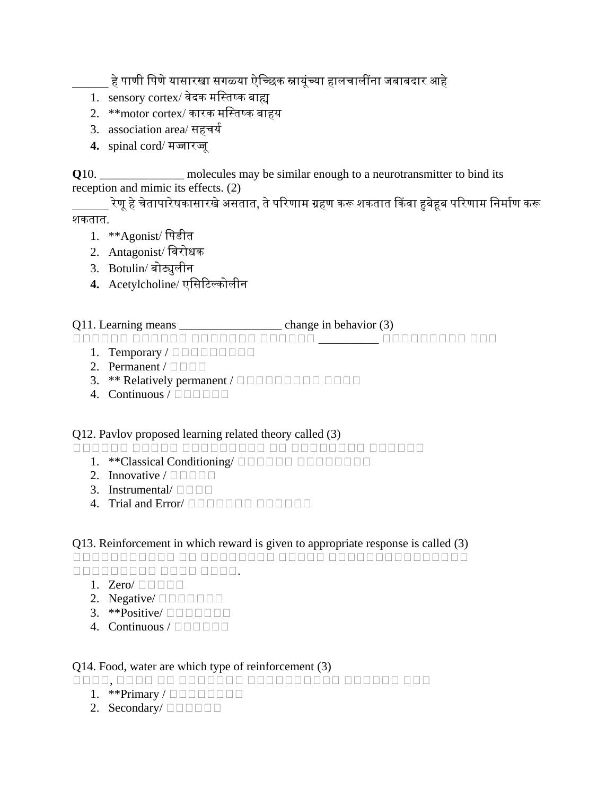\_\_\_\_\_\_ हेपाणी लपणेयासारखा सगळ्या ऐलच्िक स्नायूंच्या हालचालींना जबाबदार आहे

- 1. sensory cortex/ वेदक मस्तिष्क बाह्य
- 2.  $**$ motor cortex/ कारक मस्तिष्क बाहय
- 3. association area/ सहचर्य
- **4.** spinal cord/ मज्जारज्जू

**Q**10. \_\_\_\_\_\_\_\_\_\_\_\_\_\_\_ molecules may be similar enough to a neurotransmitter to bind its reception and mimic its effects. (2)

\_\_\_\_\_\_ रेणूहेचेतापारेषकासारखेअसतात, तेपररणाम ग्रहण करू शकतात ककिा हुबेहूब पररणाम लनमामण करू शकतात.

- 1. **\*\*Agonist/ पिडीत**
- 2. Antagonist/ लिरोधक
- 3. Botulin/ बोट्युलीन
- **4.** Acetylcholine/ एलसरटल्कोलीन

# Q11. Learning means \_\_\_\_\_\_\_\_\_\_\_\_\_\_\_\_\_ change in behavior (3)

अअअअअअ अअअअअअ अअअअअअअ अअअअअअ \_\_\_\_\_\_\_\_\_\_ अअअअअअअअअ अअअ

- 1. Temporary  $/ \square \square \square \square \square \square \square$
- 2. Permanent /  $\Box$
- 3. \*\* Relatively permanent /  $\Box$  $\Box$  $\Box$  $\Box$  $\Box$  $\Box$  $\Box$  $\Box$  $\Box$
- 4. Continuous /  $\Box$  $\Box$  $\Box$  $\Box$  $\Box$

# Q12. Pavlov proposed learning related theory called (3)

अअअअअअ अअअअअ अअअअअअअअअ अअ अअअअअअअअ अअअअअअ

- 1. \*\*Classical Conditioning/ **ACCONDITION**
- 2. Innovative /  $\Box$  $\Box$  $\Box$
- 3. Instrumental/  $\Box$   $\Box$   $\Box$
- 4. Trial and Error/ **AND AND AND AND A STATE**

# Q13. Reinforcement in which reward is given to appropriate response is called (3)

अअअअअअअअअअअ अअ अअअअअअअअ अअअअअ अअअअअअअअअअअअअअअ अअअअअअअअअ अअअअ अअअअ.

- 1. Zero/  $\Box$   $\Box$   $\Box$
- 2. Negative/ $\square$  $\square$  $\square$  $\square$  $\square$  $\square$  $\square$
- 3. \*\*Positive/ $\Box$  $\Box$  $\Box$  $\Box$  $\Box$  $\Box$
- 4. Continuous /  $\Box$  $\Box$  $\Box$  $\Box$

# Q14. Food, water are which type of reinforcement (3)

अअअअ, अअअअ अअ अअअअअअअ अअअअअअअअअअ अअअअअअ अअअ

- 1. \*\*Primary /  $\Box$  $\Box$  $\Box$  $\Box$  $\Box$  $\Box$
- 2. Secondary/ $\Box$  $\Box$  $\Box$  $\Box$  $\Box$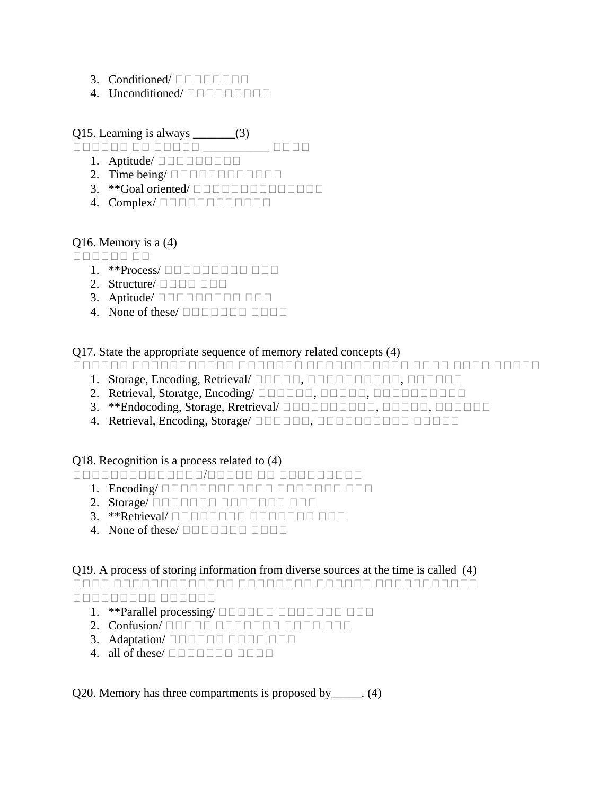- 3. Conditioned/  $\Box$  $\Box$  $\Box$  $\Box$  $\Box$  $\Box$
- 4. Unconditioned/ **ANDICION**

## Q15. Learning is always \_\_\_\_\_\_\_(3)

अअअअअअ अअ अअअअअ \_\_\_\_\_\_\_\_\_\_\_ अअअअ

- 1. Aptitude/  $\square \square \square \square \square \square \square \square$
- 2. Time being/ $\Box$  $\Box$  $\Box$  $\Box$  $\Box$  $\Box$  $\Box$  $\Box$  $\Box$
- 3. \*\*Goal oriented/ **ACCOMPERIES**
- 4. Complex/ **DODDDDDDDDDDD**

## Q16. Memory is a (4)

aanaan aa

- 1. \*\*Process/  $\Box$  $\Box$  $\Box$  $\Box$  $\Box$  $\Box$  $\Box$  $\Box$  $\Box$
- 2. Structure/  $\Box$   $\Box$   $\Box$   $\Box$   $\Box$
- 3. Aptitude/ **And Automa Automa Automa Automa Automa Autom**
- 4. None of these/  $\Box$  $\Box$  $\Box$  $\Box$  $\Box$  $\Box$  $\Box$

### Q17. State the appropriate sequence of memory related concepts (4)

अअअअअअ अअअअअअअअअअअ अअअअअअअ अअअअअअअअअअअ अअअअ अअअअ अअअअअ

- 1. Storage, Encoding, Retrieval/ **MODILE, MODILICHION**, **MODILICHION**
- 2. Retrieval, Storatge, Encoding/ **ACCOLOGIC, ACCOLOGIC ACCOLOGIC ACCOLOGIC ACCOLOGIC ACCOLOGIC ACCOLOGIC ACCOLOGIC**
- 3. \*\*Endocoding, Storage, Rretrieval/ **ACCOLOCICION, ACCOLOCICION**, **ACCOLOCICION**
- 4. Retrieval, Encoding, Storage/ **AND AND AND AND A SHOW AND A SHOW AND A SHOW AND A SHOW AND A SHOW AND A**

### Q18. Recognition is a process related to (4)

अअअअअअअअअअअअअअ/अअअअअ अअ अअअअअअअअअ

- 1. Encoding/ DODOODOODOODOO DOODOOO DOO
- 2. Storage/  $\square$
- 3. \*\*Retrieval/ **ADA ADA ADA ADA ADA ADA ADA ADA**
- 4. None of these/  $\Box$  $\Box$  $\Box$  $\Box$  $\Box$  $\Box$  $\Box$

### Q19. A process of storing information from diverse sources at the time is called (4)

अअअअ अअअअअअअअअअअअअ अअअअअअअअ अअअअअअ अअअअअअअअअअअ अअअअअअअअअ अअअअअअ

- 1. \*\*Parallel processing/ अअअअअअ अअअअअअअ अअअ
- 2. Confusion/ अअअअअ अअअअअअअ अअअअ अअअ
- 3. Adaptation/ **DODDDD DODDDDD**
- 4. all of these/  $\Box$  $\Box$  $\Box$  $\Box$  $\Box$  $\Box$  $\Box$

Q20. Memory has three compartments is proposed by\_\_\_\_\_. (4)